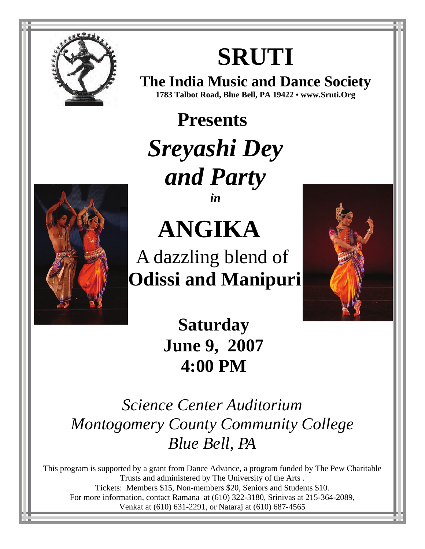

# **SRUTI**

**The India Music and Dance Society 1783 Talbot Road, Blue Bell, PA 19422 • www.Sruti.Org**

**Presents**  *Sreyashi Dey and Party in*



**ANGIKA** 

A dazzling blend of  **Odissi and Manipuri** 



**Saturday June 9, 2007 4:00 PM** 

*Science Center Auditorium Montogomery County Community College Blue Bell, PA*

This program is supported by a grant from Dance Advance, a program funded by The Pew Charitable Trusts and administered by The University of the Arts . Tickets: Members \$15, Non-members \$20, Seniors and Students \$10. For more information, contact Ramana at (610) 322-3180, Srinivas at 215-364-2089, Venkat at (610) 631-2291, or Nataraj at (610) 687-4565